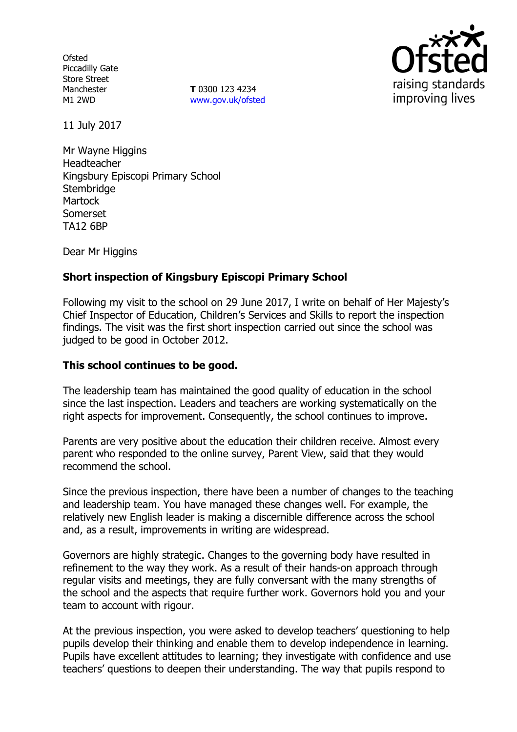**Ofsted** Piccadilly Gate Store Street Manchester M1 2WD

**T** 0300 123 4234 www.gov.uk/ofsted



11 July 2017

Mr Wayne Higgins Headteacher Kingsbury Episcopi Primary School **Stembridge Martock** Somerset TA12 6BP

Dear Mr Higgins

# **Short inspection of Kingsbury Episcopi Primary School**

Following my visit to the school on 29 June 2017, I write on behalf of Her Majesty's Chief Inspector of Education, Children's Services and Skills to report the inspection findings. The visit was the first short inspection carried out since the school was judged to be good in October 2012.

#### **This school continues to be good.**

The leadership team has maintained the good quality of education in the school since the last inspection. Leaders and teachers are working systematically on the right aspects for improvement. Consequently, the school continues to improve.

Parents are very positive about the education their children receive. Almost every parent who responded to the online survey, Parent View, said that they would recommend the school.

Since the previous inspection, there have been a number of changes to the teaching and leadership team. You have managed these changes well. For example, the relatively new English leader is making a discernible difference across the school and, as a result, improvements in writing are widespread.

Governors are highly strategic. Changes to the governing body have resulted in refinement to the way they work. As a result of their hands-on approach through regular visits and meetings, they are fully conversant with the many strengths of the school and the aspects that require further work. Governors hold you and your team to account with rigour.

At the previous inspection, you were asked to develop teachers' questioning to help pupils develop their thinking and enable them to develop independence in learning. Pupils have excellent attitudes to learning; they investigate with confidence and use teachers' questions to deepen their understanding. The way that pupils respond to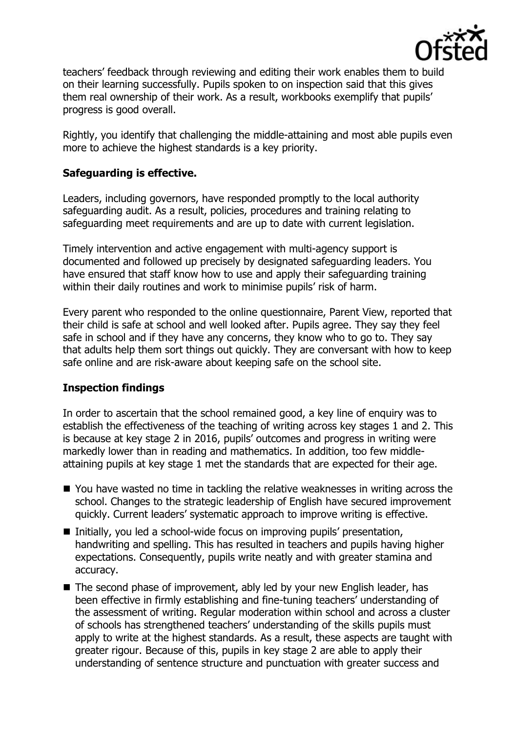

teachers' feedback through reviewing and editing their work enables them to build on their learning successfully. Pupils spoken to on inspection said that this gives them real ownership of their work. As a result, workbooks exemplify that pupils' progress is good overall.

Rightly, you identify that challenging the middle-attaining and most able pupils even more to achieve the highest standards is a key priority.

### **Safeguarding is effective.**

Leaders, including governors, have responded promptly to the local authority safeguarding audit. As a result, policies, procedures and training relating to safeguarding meet requirements and are up to date with current legislation.

Timely intervention and active engagement with multi-agency support is documented and followed up precisely by designated safeguarding leaders. You have ensured that staff know how to use and apply their safeguarding training within their daily routines and work to minimise pupils' risk of harm.

Every parent who responded to the online questionnaire, Parent View, reported that their child is safe at school and well looked after. Pupils agree. They say they feel safe in school and if they have any concerns, they know who to go to. They say that adults help them sort things out quickly. They are conversant with how to keep safe online and are risk-aware about keeping safe on the school site.

#### **Inspection findings**

In order to ascertain that the school remained good, a key line of enquiry was to establish the effectiveness of the teaching of writing across key stages 1 and 2. This is because at key stage 2 in 2016, pupils' outcomes and progress in writing were markedly lower than in reading and mathematics. In addition, too few middleattaining pupils at key stage 1 met the standards that are expected for their age.

- You have wasted no time in tackling the relative weaknesses in writing across the school. Changes to the strategic leadership of English have secured improvement quickly. Current leaders' systematic approach to improve writing is effective.
- Initially, you led a school-wide focus on improving pupils' presentation, handwriting and spelling. This has resulted in teachers and pupils having higher expectations. Consequently, pupils write neatly and with greater stamina and accuracy.
- The second phase of improvement, ably led by your new English leader, has been effective in firmly establishing and fine-tuning teachers' understanding of the assessment of writing. Regular moderation within school and across a cluster of schools has strengthened teachers' understanding of the skills pupils must apply to write at the highest standards. As a result, these aspects are taught with greater rigour. Because of this, pupils in key stage 2 are able to apply their understanding of sentence structure and punctuation with greater success and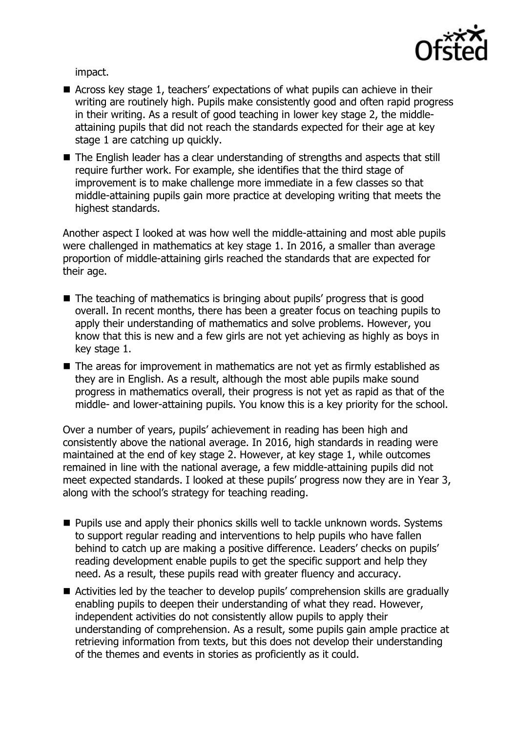

impact.

- Across key stage 1, teachers' expectations of what pupils can achieve in their writing are routinely high. Pupils make consistently good and often rapid progress in their writing. As a result of good teaching in lower key stage 2, the middleattaining pupils that did not reach the standards expected for their age at key stage 1 are catching up quickly.
- The English leader has a clear understanding of strengths and aspects that still require further work. For example, she identifies that the third stage of improvement is to make challenge more immediate in a few classes so that middle-attaining pupils gain more practice at developing writing that meets the highest standards.

Another aspect I looked at was how well the middle-attaining and most able pupils were challenged in mathematics at key stage 1. In 2016, a smaller than average proportion of middle-attaining girls reached the standards that are expected for their age.

- The teaching of mathematics is bringing about pupils' progress that is good overall. In recent months, there has been a greater focus on teaching pupils to apply their understanding of mathematics and solve problems. However, you know that this is new and a few girls are not yet achieving as highly as boys in key stage 1.
- The areas for improvement in mathematics are not yet as firmly established as they are in English. As a result, although the most able pupils make sound progress in mathematics overall, their progress is not yet as rapid as that of the middle- and lower-attaining pupils. You know this is a key priority for the school.

Over a number of years, pupils' achievement in reading has been high and consistently above the national average. In 2016, high standards in reading were maintained at the end of key stage 2. However, at key stage 1, while outcomes remained in line with the national average, a few middle-attaining pupils did not meet expected standards. I looked at these pupils' progress now they are in Year 3, along with the school's strategy for teaching reading.

- $\blacksquare$  Pupils use and apply their phonics skills well to tackle unknown words. Systems to support regular reading and interventions to help pupils who have fallen behind to catch up are making a positive difference. Leaders' checks on pupils' reading development enable pupils to get the specific support and help they need. As a result, these pupils read with greater fluency and accuracy.
- Activities led by the teacher to develop pupils' comprehension skills are gradually enabling pupils to deepen their understanding of what they read. However, independent activities do not consistently allow pupils to apply their understanding of comprehension. As a result, some pupils gain ample practice at retrieving information from texts, but this does not develop their understanding of the themes and events in stories as proficiently as it could.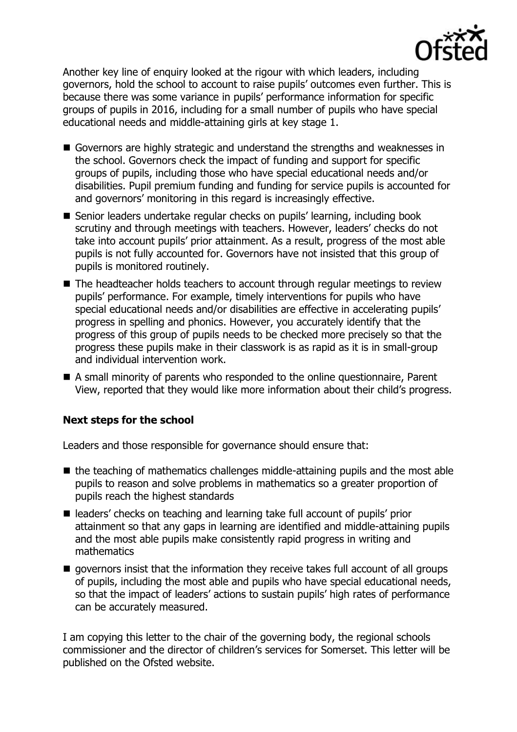

Another key line of enquiry looked at the rigour with which leaders, including governors, hold the school to account to raise pupils' outcomes even further. This is because there was some variance in pupils' performance information for specific groups of pupils in 2016, including for a small number of pupils who have special educational needs and middle-attaining girls at key stage 1.

- Governors are highly strategic and understand the strengths and weaknesses in the school. Governors check the impact of funding and support for specific groups of pupils, including those who have special educational needs and/or disabilities. Pupil premium funding and funding for service pupils is accounted for and governors' monitoring in this regard is increasingly effective.
- Senior leaders undertake regular checks on pupils' learning, including book scrutiny and through meetings with teachers. However, leaders' checks do not take into account pupils' prior attainment. As a result, progress of the most able pupils is not fully accounted for. Governors have not insisted that this group of pupils is monitored routinely.
- The headteacher holds teachers to account through regular meetings to review pupils' performance. For example, timely interventions for pupils who have special educational needs and/or disabilities are effective in accelerating pupils' progress in spelling and phonics. However, you accurately identify that the progress of this group of pupils needs to be checked more precisely so that the progress these pupils make in their classwork is as rapid as it is in small-group and individual intervention work.
- A small minority of parents who responded to the online questionnaire, Parent View, reported that they would like more information about their child's progress.

#### **Next steps for the school**

Leaders and those responsible for governance should ensure that:

- $\blacksquare$  the teaching of mathematics challenges middle-attaining pupils and the most able pupils to reason and solve problems in mathematics so a greater proportion of pupils reach the highest standards
- leaders' checks on teaching and learning take full account of pupils' prior attainment so that any gaps in learning are identified and middle-attaining pupils and the most able pupils make consistently rapid progress in writing and mathematics
- $\blacksquare$  governors insist that the information they receive takes full account of all groups of pupils, including the most able and pupils who have special educational needs, so that the impact of leaders' actions to sustain pupils' high rates of performance can be accurately measured.

I am copying this letter to the chair of the governing body, the regional schools commissioner and the director of children's services for Somerset. This letter will be published on the Ofsted website.